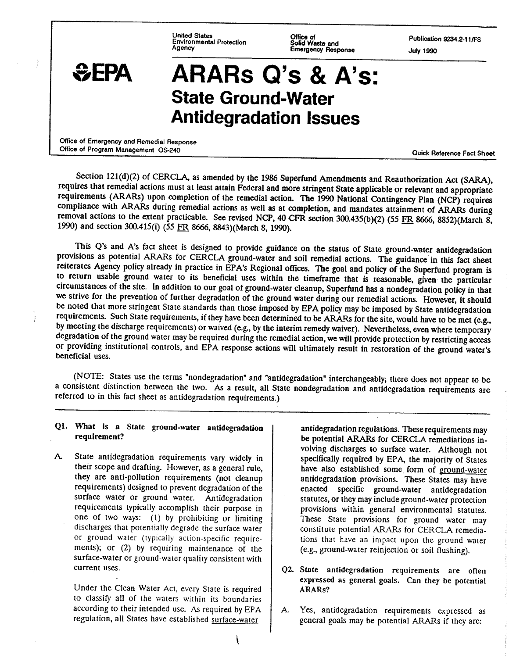**United States Office of Publication 9234.2-1 llFS Environmental Protection Solid Waste and Agency Emergency Response July 1990** 

j

# **aEPA ARARs Q's** & **A's: State Ground-Water Antidegradation Issues**

**Office of Emergency and Remedial Response Office of Program Management OS-240 Quick Reference Fact Sheet Quick Reference Fact Sheet** 

Section 121(d)(2) of CERCLA, as amended by the 1986 Superfund Amendments and Reauthorization Act (SARA), requires that remedial actions must at least attain Federal and more stringent State applicable or relevant and appropriate requirements (ARARs) upon completion of the remedial action. The 1990 National Contingency Plan (NCP) requires compliance with **ARARs** during remedial actions as well as at completion, and mandates attainment of **ARARs** during removal actions to the extent practicable. See revised NCP, 40 CFR section 300.435(b)(2) (55 FR 8666, 8852)(March 8, 1990) and section 300.415(i) (55 FR 8666, 8843)(March 8, 1990).

This Q's and A's fact sheet is designed to provide guidance on the status of State ground-water antidegradation provisions as potential ARARs for CERCLA ground-water and soil remedial actions. The guidance in this fact sheet reiterates Agency policy already in practice in EPA's Regional offices. The goal and policy of the Superfund program is to return usable ground water to its beneficial uses within the timeframe that is reasonable, given- the particular circumstances of the site. In addition to our goal of ground-water cleanup, Superfund has a nondegradation policy in that we strive for the prevention of further degradation of the ground water during our remedial actions. However, it should be noted that more stringent State standards than those imposed by EPA policy may be imposed by State antidegradation requirements. Such State requirements, if they have been determined to be ARARs for the site, would have to be met (e.g., by meeting the discharge requirements) or waived (e-g., by the interim remedy waiver). Nevertheless, even where temporary degradation of the ground water may be required during the remedial action, we will provide protection by restricting access or providing institutional controls, and EPA response actions will ultimately result in restoration of the ground water's beneficial uses.

**(NOTE:** States use the terms "nondegradation" and "antidegradation" interchangeably; there does not appear to be a consistent distinction between the two. **As** a result, all State nondegradation and antidegradation requirements are referred to in this fact sheet as antidegradation requirements.)

# **Q1. What is a State ground-water antidegradation requirement?**

A. State antidegradation requirements vary widely in their scope and drafting. However, as a general rule, they are anti-pollution requirements (not cleanup requirements) designed to prevent degradation of the surface water or ground water. Antidegradation requirements typically accomplish their purpose in one of two ways: (1) by prohibiting or limiting discharges that potentially degrade the surface water or ground water (typically action-specific requirements); or (2) **by** requiring maintenance of the surface-water or ground-water quality consistent with current uses.

Under the Clean Water Act, every State is required to classify all of the waters within its boundaries according to their intended use. **As** required by EPA regulation, all States have established surface-water

antidegradation regulations. These requirements may be potential **ARARs** for CERCLA remediations involving discharges to surface water. Although not specifically required by **EPA,** the majority of States have also established some form of ground-water antidegradation provisions. These States may have enacted specific ground-water antidegradation statutes, or they may include ground-water protection provisions within general environmental statutes. These State provisions for ground water may constitute potential ARARs for CERCLA remediations that have an impact upon the ground water (e.g., ground-water reinjection or soil flushing).

- **Q2. State antidegradation requirements are often**  expressed as general goals. Can they be potential **ARARs** ?
- A Yes, antidegradation requirements expressed as general goals may be potential ARARs if they are: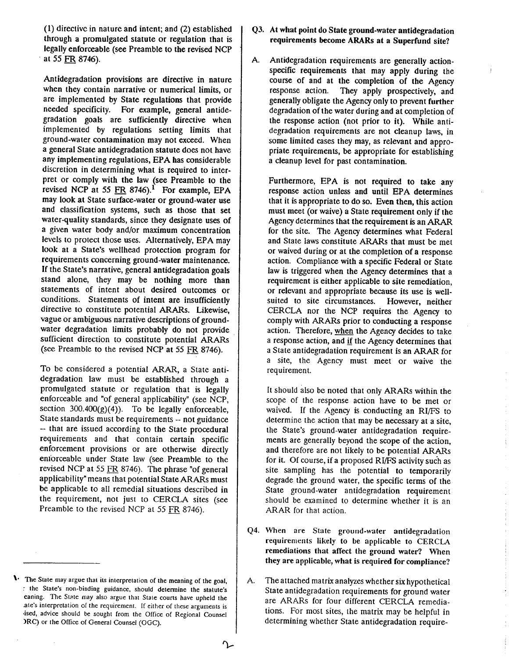(1) directive in nature and intent; and (2) established through a promulgated statute or regulation that is legally enforceable (see Preamble to the revised NCP at 55 FR 8746).

Antidegradation provisions are directive in nature when they contain narrative or numerical limits, or are implemented by State regulations that provide needed specificity. For example, general antidegradation goals are sufficiently directive when implemented by regulations setting limits that ground-water contamination may not exceed. When a general State antidegradation statute does not have any implementing regulations, EPA has considerable discretion in determining what is required to interpret or comply with the law (see Preamble to the revised NCP at 55 FR 8746).<sup>1</sup> For example, EPA may look at State surface-water or ground-water use and classification systems, such as those that set water-quality standards, since they designate uses of a given water body and/or maximum concentration levels to protect those uses. Alternatively, EPA may look at a State's wellhead protection program for requirements concerning ground-water maintenance. If the State's narrative, general antidegradation goals stand alone, they may be nothing more than statements of intent about desired outcomes or conditions. Statements of intent are insufficiently directive to constitute potential ARARs. Likewise, vague or ambiguous narrative descriptions of groundwater degradation limits probably do not provide sufficient direction to constitute potential ARARs (see Preamble to the revised NCP at 55 FR 8746).

To be considered a potential ARAR, a State antidegradation law must be established through a promulgated statute or regulation that is legally enforceable and "of general applicability" (see NCP, section  $300.400(g)(4)$ . To be legally enforceable, State standards must be requirements -- not guidance -- that are issued according to the State procedural requirements and that contain certain specific enforcement provisions or are otherwise directly eniorceable under State law (see Preamble to the revised NCP at *55* FR 8746). The phrase "of general applicability" means that potential State ARARs must be applicable to all remedial situations described in the requirement, not just to CERCLA sites (see Preamble to the revised NCP at 55 **FR** 8746).

- Q3. At what point do State ground-water antidegradation requirements become ARARs at a Superfund site?
- A. Antidegradation requirements are generally actionspecific requirements that may apply during the course of and at the completion of the Agency response action. They apply prospectively, and generally obligate the Agency only to prevent further degradation of the water during and at completion of the response action (not prior to it). While antidegradation requirements are not cleanup laws, in some limited cases they may, as relevant and appropriate requirements, be appropriate for establishing a cleanup level for past contamination.

Furthermore, EPA is not required to take any response action unless and until EPA determines that it is appropriate to do so. Even then, this action must meet (or waive) a State requirement only if the Agency determines that the requirement is an ARAR for the site. The Agency determines what Federal and State laws constitute ARARs that must be met or waived during or at the completion of a response action. Compliance with a specific Federal or State law is triggered when the Agency determines that a requirement is either applicable to site remediation, or relevant and appropriate because its use is wellsuited to site circumstances. However, neither CERCLA nor the NCP requires the Agency to comply with ARARs prior to conducting a response action. Therefore, when the Agency decides to take a response action, and **if** the Agency determines that a State antidegradation requirement is an ARAR for a site, the Agency must meet or waive the requirement.

It should also be noted that only ARARs within the scope of the response action have to be met or waived. If the Agency is conducting an RI/FS to determine the action that may be necessary at a site, the State's ground-water antidegradation requirements are generally beyond the scope of the action, and therefore are not likely to be potential ARARs for it. Of course, if a proposed  $RI/FS$  activity such as site sampling has the potential to temporarily degrade the ground water, the specific terms of the State ground-water antidegradation requirement should be examined to determine whether it is an ARAR for that action.

- Q4. When are State ground-water antidegradation requirements likely to be applicable to CERCLA remediations that affect the ground water? When they are applicable, what is required for compliance?
- A. The attached matrix analyzes whether six hypothetical State antidegradation requirements for ground water are ARARs for four different CERCLA remedia tions. For most sites, the matrix may be helpful in determining whether State antidegradation require-

**<sup>1.</sup>** The State may argue that its interpretation of the meaning of the goal, r the State's non-binding guidance, should determine the statute's eaning. The State may also argue that State courts have upheld the .ate's interpretarion of the requirement. If either of these arguments is ~ised, advice should be sought from the Olfice of Regional Counsel IRC) or the Office of General Counsel (OGC).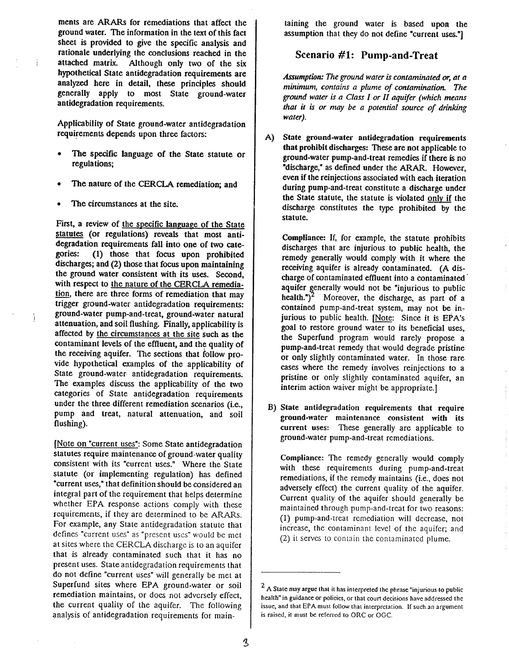ments are. **ARARs** for remediations that affect the ground water. The information in the text of this fact sheet is provided to give the specific analysis and rationale underlying the conclusions reached in the i attached matrix. Although only two of the six hypothetical State antidegradation requirements are analyzed here in detail, these principles should generally apply to most State ground-water antidegradation requirements.

Applicability of State ground-water antidegradation requirements depends upon three factors:

- The specific language of the State statute or regulations;
- The nature of the CERCLA remediation; and
- The circumstances at the site.

First, a review of the specific language of the State statutes (or regulations) reveals that most antidegradation requirements fall into one of two categories: (1) those that focus upon prohibited discharges; and (2) those that focus upon maintaining the ground water consistent with its uses. Second, with respect to the nature of the CERCLA remedia discharges; and (2) those that focus upon promoted<br>discharges; and (2) those that focus upon maintaining<br>the ground water consistent with its uses. Second,<br>with respect to <u>the nature of the CERCLA remedia-<br>ion</u>, there are trigger ground-water antidegradation requirements: - ground-water pump-and-treat, ground-water natural attenuation, and soil flushing. Finally, applicability is affected by the circumstances at the site such as the contaminant levels of the effluent, and the quality of the receiving aquifer. The sections that follow provide hypothetical examples of the applicability of State ground-water antidegradation requirements. The examples discuss the applicability of the two categories of State antidegradation requirements under the three different remediation scenarios (i.e., pump and treat, natural attenuation, and soil flushing).

[Note on "current uses": Some State antidegradation statutes require maintenance of ground-water quality consistent with its "current uses." Where the State statute (or implementing regulation) has defined "current uses," that definition should be considered an integral part of the requirement that helps determine whether EPA response actions comply with these requirements, if they arc determined to be ARARs. For example, any State antidegradation statute that defines "current uses" as "present uses" would be met at sites where the CERCLA discharge is to an aquifer that is already contaminated such that it has no present uses. Stateantidegradation requirements that do not define "current uses" will generally be met at Superfund sites where EPA ground-water or soil remediation maintains, or does not adversely effect, the current quality of the aquifer. The following analysis **of** antidegradation requirements for maintaining the ground water is based upon the assumption that they do not define "current uses."]

# **Scenario #I: Pump-and-Treat**

*Assumption: The ground water is contaminated or, at* **n**  *minimum, contains a plume of contamination. The ground water is a Class I or II aquifer (which means*  that it is or may be a potential source of drinking *water).* 

A) State ground-water antidegradation requirements that prohibit discharges: These are not applicable to ground-water pump-and-treat remedies if there is no "discharge," as defined under the **ARAR.** However, even if the reinjections associated with each iteration during pump-and-treat constitute a discharge under the State statute, the statute is violated only if the discharge constitutes the type prohibited by the statute.

Compliance: If, for example, the statute prohibits discharges that are injurious to public health, the remedy generally would comply with it where the receiving aquifer is already contaminated. (A discharge of contaminated effluent into a contaminated ' aquifer generally would not be "injurious to public health.")<sup>2</sup> Moreover, the discharge, as part of a contained pump-and-treat system, may not be injurious to public health. [Note: Since it is EPA'S goal to restore ground water to its beneficial uses, the Superfund program would rarely propose a pump-and-treat remedy that would degrade pristine or only slightly contaminated water. In those rare cases where the remedy involves reinjections to a pristine or only slightly contaminated aquifer, an interim action waiver might be appropriate.]

B) State antidegradation requirements that require ground-water maintenance consistent with its current uses: These generally are applicable to ground-water pump-and-treat rcmediations.

Compliance: The remedy generally would comply with these requirements during pump-and-treat remediations, if the remedy maintains (i.e., does not adversely effect) the current quality of the aquifer. Current quality of the aquifer should generally be maintained through pump-and-treat for two reasons: (1) pump-and-treat remediation will decrease, not increase, the contaminant level of thc aquifer; and (2) it serves to conrain thc contaminated plume.

**A** State may argue that it has interpreted the phrase "injurious to public health" in guidance or policies, or that coun decisions have addressed the issue, and that EPA must follow Ihat interprctation. If such an argument is raised, it must **be** referred to ORC or OGC.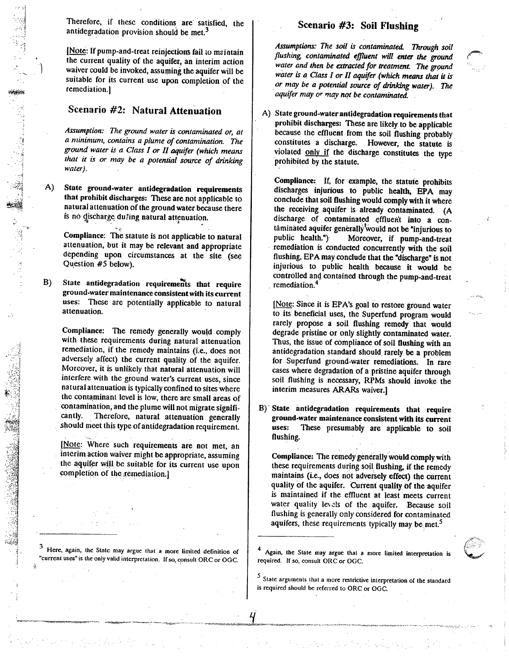Therefore, if these conditions are satisfied, the antidegradation provision should be met.<sup>3</sup>

[Note: If pump-and-treat reinjections fail to maintain the current quality of the aquifer, an interim action ) waiver could be invoked, assuming the aquifer will be suitable for its current use upon completion of the remedia tion.]

# **Scenario #2: Natural Attenuation**

Assumption: The ground water is contaminated or, at *a minimum, contains a plume of contamination. The ground wafer* **is n** *Class I or II aquqer (which means that it is or may be a potential source of drinking water).* 

A) State ground-water antidegradation requirements that prohibit discharges: These are not applicable to natural attenuation of the ground water because there is no discharge du#ing natural attenuation.  $\mathbf{v}$ <sup>-</sup>

Compliance: The statute is not applicable to natural attenuation, but it may be relevant and appropriate depending upon circumstances at the site (see Question **#5** below).

B) State antidegradation requirements that require ground-water maintenance consistent with its current uses: These are potentially applicable to natural attenuation.

Compliance: The remedy generally would comply with these requirements during natural attenuation remediation, if the remedy maintains (i.e., does not adversely affect) the current quality of the aquifer. Moreover, it is unlikely that natural attenuation will interfere with the ground water's current uses, since natural attenuation is typically confined to sites where the contaminant level is low, there are small areas of contamination, and the plume will not migrate significantly. Therefore, natural attenuation generally should meet this type of antidegradation requirement.

[Note: Where such requirements are not met, an interim action waiver might be appropriate, assuming thc aquifer will be suitable for its current use upon completion of the remediation.]

<sup>3</sup> Here, again, the State may argue that a more limited definition of **"current uss" is tl~e only valid interpretation.** Ifso, **consult** ORC **or** OGC.

# , **Scenario #3: Soil Flushing**

Assumptions: The soil is contaminated. Through soil *flushing, contaminated efluent will enfer the ground*  water and then be extracted for treatment. The ground *wafer is a Class I or* **N** *aquifer (which* **means** *that* **it** *is or may be a potential source of* **drinking** *water). The aquifer nlay or may not be contaminated.* 

**A)** State ground-water antidegradation requirements that prohibit discharges: These are likely to be applicable because the effluent from the soil flushing probably constitutes a discharge. However, the statute is constitutes a discharge. However, the statute is violated only if the discharge constitutes the type prohibited by the statute.

Compliance: If, for example, the statute prohibits discharges injurious to public health, **EPA** may conclude that soil flushing would comply with it where the receiving aquifer is already contaminated. (A discharge of contaminated effluent into a contâminated aquifer generally would not be "injurious to public health.") Moreover, if pump-and-treat remediation is conducted concurrently with the soil flushing, EPA may conclude that the "discharge" is not injurious to public health because it would be controlled and, contained through the pump-and-treat remediation. $4$ 

[Note: Since it is EPA's goal to restore ground water to its beneficial uses, the Superfund program would rarely propose a soil flushing remedy that would degrade pristine or only slightly contaminated water. Thus, the issue of compliance of soil flushing with an antidegradation standard should. rarely **be** a problem for Superfund ground-water remediations. In rare cases where degradation of a pristine aquifer through soil flushing is necessary, **RPMs** should invoke the interim measures **ARARs** waiver.]

B) State antidegradation requirements that require ground-water maintenance consistent with its current  $\frac{1}{2}$  with monotonicity considering the control  $\frac{1}{2}$  $\mu$  is the set of  $\mu$  and  $\mu$  and  $\mu$  and  $\mu$  and  $\mu$  and  $\mu$  and  $\mu$  and  $\mu$  and  $\mu$  and  $\mu$  and  $\mu$  and  $\mu$  and  $\mu$  and  $\mu$  and  $\mu$  and  $\mu$  and  $\mu$  and  $\mu$  and  $\mu$  and  $\mu$  and  $\mu$  and  $\mu$  and  $\mu$ 

Compliance: The remedy generally would comply with these requirements during soil flushing, if the remedy maintains (i.e., does not adversely effect) the current quality of the aquifer. Current quality of the aquifer is maintained if the effluent at least meets current water quality levels of the aquifer. Because soil flushing is generally only considered for contaminated aquifers, these requirements typically may be met.<sup>5</sup>

**Again, the State may argue that a more limited interpretation is required.** If so, **consult** ORC **or** OGC.

**State arguments that a more restrictive interpretation of the standard is required should be referred to** ORC **or** OGC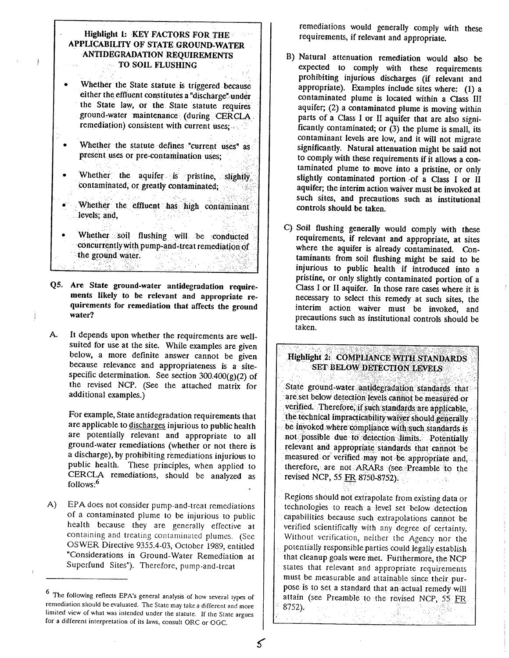### **Highlight 1: KEY FACTORS FOR THE APPLICABILITY OF STATE GROUND-WATER ANTIDEGRADA'HON REQUIREMENTS TO SOIL FLUSHING**

- Whether the State starute is triggered because either the effluent constitutes a "discharge" under the State law, or the State statute requires ground-water maintenance (during CERCLA remediation) consistent with current uses;
- Whether the statute defines "current uses" as present uses or pre-contamination uses;
- Whether the aquifer is pristine, slightly  $\bullet$ contaminated, or greatly contaminated;
- Whether the effluent has high contaminant levels; and,
- Whether soil flushing will be conducted concurrently with pump-and-treat remediation of the ground water. <u> 대표 자화</u> 도수화
- **Q5. Are State ground-water antidegradation requirements likely to be relevant and appropriate requirements for remediation that affects the ground water?**
- **A.** It depends upon whether the requirements are wellsuited for use at the site. While examples are given below, a more definite answer cannot be given because relevance and appropriateness is a sitespecific determination. See section  $300.400(g)(2)$  of the revised NCP. (See the attached matrix for additional examples.)

For example, State antidegradation requirements that are applicable to discharges injurious to public health are potentially relevant and appropriate to all ground-water remediations (whether or not there is a discharge), by prohibiting remediations injurious to public health. These principles, when applied to CERCLA remediations, should be analyzed as follows: $6$ 

**A)** EPA does not consider pump-and-treat remediations of a contaminated plume to be injurious to public health because they are generally effective at containing and treating contaminated plumes. (See OSWER Directive 9355.4-03, October 1989, entitled "Considerations in Ground-Water Remediation at Superfund Sites"). Therefore, pump-and-treat

remediations would generally comply with these requirements, if relevant and appropriate.

- **0)** Natural attenuation remediation would also be expected to comply with these requirements prohibiting injurious discharges (if relevant and appropriate). Examples include sites where: (1) a contaminated plume is located within a Class **111**  aquifer; (2) a contaminated plume is moving within parts of a Class **I** or I1 aquifer that are also significantly contaminated; or (3) the plume is small, its contaminant levels are low, and it will not migrate significantly. Natural attenuation might be said not to comply with these requirements if it allows a contaminated plume to move into a pristine, or only slightly contaminated portion of a Class **I** or **I1**  aquifer; the interim action waiver must be invoked at such sites, and precautions such as institutional controls should be taken.
- C) Soil flushing generally would comply with these requirements, if relevant and appropriate, at sites where the aquifer is already contaminated. Contaminants from soil flushing might be said to be injurious to public health if introduced into a pristine, or only slightly contaminated portion of a Class I or I1 aquifer. In those rare **cases** where it is necessary to select this remedy at such sites, the interim action waiver must be invoked, and precautions such as institutional controls should be taken.

# **Highlight 2: COMPLIANCE WITH STANDARDS SET BELOW DETECTION LEVELS**

State ground-water antidegradation standards that are set below detection levels cannot be measured or verified. Therefore, if such standards are applicable, the technical impracticability waiver should generally be invoked where compliance with such standards is not possible due to detection limits. Potentially relevant and appropriate standards that cannot be measured or verified may not be appropriate and, therefore, are not **ARARs (see** Preamble to the revised NCP, 55 FR 8750-8752).  $1 - 1 + 12$ 

Regions should not extrapolate from existing data or technologies to reach a level set below detection capabilities because such extrapolations cannot be verified scientifically with any degree of certainty. Without verification, neither the Agency nor the potentially responsible parties could legally establish that cleanup goals were met. Furthermore, the NCP states that relevant and appropriate requirements must be measurable and attainable since their purpose is to set a standard that an actual remedy will attain (see Preamble to the revised NCP, 55 FR 8752).

i to s

<sup>&</sup>lt;sup>6</sup> The following reflects EPA's general analysis of how several types of remediation should be evaluated. The State may take a different and more limited view of what was intended under the statute. If the State argues for a different interpretation of its laws, consult ORC or OGC.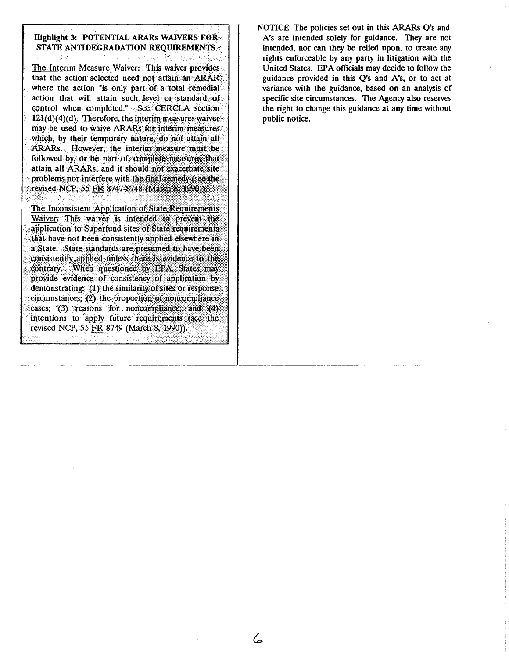| STATE ANTIDEGRADATION REQUIREMENTS                      |  |
|---------------------------------------------------------|--|
| The Interim Measure Waiver: This waiver provides        |  |
| that the action selected need not attain an ARAR        |  |
| where the action "is only part of a total remedial      |  |
| action that will attain such level or standard of       |  |
| control when completed." See CERCLA section             |  |
| $121(d)(4)(d)$ . Therefore, the interim measures waiver |  |
| may be used to waive ARARs for interim measures         |  |
| which, by their temporary nature, do not attain all     |  |
| ARARs. However, the interim measure must be             |  |
| followed by, or be part of, complete measures that      |  |
| attain all ARARs, and it should not exacerbate site     |  |
| problems nor interfere with the final remedy (see the   |  |
| revised NCP, 55 FR 8747-8748 (March 8, 1990)).          |  |
| The Inconsistent Application of State Requirements      |  |
| Waiver: This waiver is intended to prevent the          |  |
| application to Superfund sites of State requirements    |  |
| that have not been consistently applied elsewhere in    |  |
| a State. State standards are presumed to have been      |  |
| consistently applied unless there is evidence to the    |  |
| contrary. When questioned by EPA States may             |  |
| provide evidence of consistency of application by       |  |
| demonstrating: (1) the similarity of sites or response  |  |
| circumstances; (2) the proportion of noncompliance      |  |
| cases; (3) reasons for noncompliance, and (4)           |  |
| intentions to apply future requirements (see the        |  |
| revised NCP, 55 FR 8749 (March 8, 1990)).               |  |

6

NOTICE: The policies set out in this ARARs Q's and A's are intended solely for guidance. They are not intended, nor can they be relied upon, to create any rights enforceable by any party in litigation with the United States. EPA officials may decide to follow the guidance provided in this Q's and A's, or to act at variance with the guidance, based on an analysis of specific site circumstances. The Agency also reserves the right to change this guidance at any time without public notice.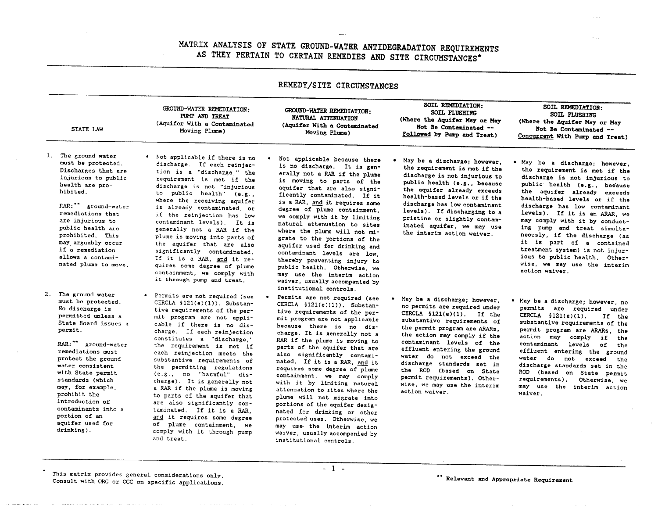# **MATRIX ANALYSIS OF STATE GROUND-WATER ANTIDEGRADATION REQUIREMENTS AS THEY PERTAIN TO CERTAIN REMEDIES AND SITE CIRCUMSTANCES\***

| REMEDY/SITE CIRCUMSTANCES |                                                                                                                                                                                                                                                                                                                                                                                       |                                                                                                                                                                                                                                                                                                                                                                                                                                                                                                                                                                                                                                                   |                                                                                                                                                                                                                                                                                                                                                                                                                                                                                                                                                                                                                                                                                             |                                                                                                                                                                                                                                                                                                                                                                                                                                  |                                                                                                                                                                                                                                                                                                                                                                                                                                                                                                                       |  |
|---------------------------|---------------------------------------------------------------------------------------------------------------------------------------------------------------------------------------------------------------------------------------------------------------------------------------------------------------------------------------------------------------------------------------|---------------------------------------------------------------------------------------------------------------------------------------------------------------------------------------------------------------------------------------------------------------------------------------------------------------------------------------------------------------------------------------------------------------------------------------------------------------------------------------------------------------------------------------------------------------------------------------------------------------------------------------------------|---------------------------------------------------------------------------------------------------------------------------------------------------------------------------------------------------------------------------------------------------------------------------------------------------------------------------------------------------------------------------------------------------------------------------------------------------------------------------------------------------------------------------------------------------------------------------------------------------------------------------------------------------------------------------------------------|----------------------------------------------------------------------------------------------------------------------------------------------------------------------------------------------------------------------------------------------------------------------------------------------------------------------------------------------------------------------------------------------------------------------------------|-----------------------------------------------------------------------------------------------------------------------------------------------------------------------------------------------------------------------------------------------------------------------------------------------------------------------------------------------------------------------------------------------------------------------------------------------------------------------------------------------------------------------|--|
|                           | STATE LAW                                                                                                                                                                                                                                                                                                                                                                             | GROUND-WATER REMEDIATION:<br>PUMP AND TREAT<br>(Aquifer With a Contaminated<br>Moving Plume)                                                                                                                                                                                                                                                                                                                                                                                                                                                                                                                                                      | GROUND-WATER REMEDIATION:<br><b>NATURAL ATTENUATION</b><br>(Aquifer With a Contaminated<br>Moving Plume)                                                                                                                                                                                                                                                                                                                                                                                                                                                                                                                                                                                    | SOIL REMEDIATION:<br><b>SOIL FLUSHING</b><br>(Where the Aquifer May or May<br>Not Be Contaminated --<br>Followed by Pump and Treat)                                                                                                                                                                                                                                                                                              | SOIL REMEDIATION:<br><b>SOIL FLUSHING</b><br>(Where the Aquifer May or May<br>Not Be Contaminated --<br>Concurrent With Pump and Treat)                                                                                                                                                                                                                                                                                                                                                                               |  |
|                           | 1. The ground water<br>must be protected.<br>Discharges that are<br>injurious to public<br>health are pro-<br>hibited.<br>RAR: ** ground-water<br>remediations that<br>are injurious to<br>public health are<br>prohibited. This<br>may arguably occur<br>if a remediation<br>allows a contami-<br>nated plume to move.                                                               | . Not applicable if there is no<br>discharge. If each reinjec-<br>tion is a "discharge," the<br>requirement is met if the<br>discharge is not "injurious<br>to public health" (e.g.,<br>where the receiving aquifer<br>is already contaminated, or<br>if the reinjection has low<br>contaminant levels). It is<br>generally not a RAR if the<br>plume is moving into parts of<br>the aquifer that are also<br>significantly contaminated.<br>If it is a RAR, and it re-<br>quires some degree of plume<br>containment, we comply with<br>it through pump and treat.                                                                               | Not applicable because there<br>is no discharge. It is gen-<br>erally not a RAR if the plume<br>is moving to parts of the<br>aquifer that are also signi-<br>ficantly contaminated. If it<br>is a RAR, and it requires some<br>degree of plume containment,<br>we comply with it by limiting<br>natural attenuation to sites<br>where the plume will not mi-<br>grate to the portions of the<br>aquifer used for drinking and<br>contaminant levels are low,<br>thereby preventing injury to<br>public health. Otherwise, we<br>may use the interim action<br>waiver, usually accompanied by<br>institutional controls.                                                                     | . May be a discharge; however,<br>the requirement is met if the<br>discharge is not injurious to<br>public health (e.g., because<br>the aquifer already exceeds<br>health-based levels or if the<br>discharge has low contaminant<br>levels). If discharging to a<br>pristine or slightly contam-<br>inated aquifer, we may use<br>the interim action waiver.                                                                    | May be a discharge; however,<br>the requirement is met if the<br>discharge is not injurious to<br>public health (e.g., because<br>the aquifer already exceeds<br>health-based levels or if the<br>discharge has low contaminant<br>levels). If it is an ARAR, we<br>may comply with it by conduct-<br>ing pump and treat simulta-<br>neously, if the discharge (as<br>it is part of a contained<br>treatment system) is not injur-<br>ious to public health. Other-<br>wise, we may use the interim<br>action waiver. |  |
|                           | 2. The ground water<br>must be protected.<br>No discharge is<br>permitted unless a<br>State Board issues a<br>permit.<br>RAR:" ground-water<br>remediations must<br>protect the ground<br>water consistent<br>with State permit<br>standards (which<br>may, for example.<br>prohibit the<br>introduction of<br>contaminants into a<br>portion of an<br>aquifer used for<br>drinking). | • Permits are not required (see<br>CERCLA §121(e)(1)). Substan-<br>tive requirements of the per-<br>mit program are not appli-<br>cable if there is no dis-<br>charge. If each reinjection<br>constitutes a "discharge,"<br>the requirement is met if<br>each reinjection meets the<br>substantive requirements of<br>the permitting regulations<br>(e.g., no "harmful" dis-<br>charge). It is generally not<br>a RAR if the plume is moving<br>to parts of the aquifer that<br>are also significantly con-<br>taminated. If it is a RAR,<br>and it requires some degree<br>of plume containment, we<br>comply with it through pump<br>and treat. | Permits are not required (see<br>CERCLA §121(e)(1)). Substan-<br>tive requirements of the per-<br>mit program are not applicable<br>because there is no dis-<br>charge. It is generally not a<br>RAR if the plume is moving to<br>parts of the aquifer that are<br>also significantly contami-<br>nated. If it is a RAR, and it<br>requires some degree of plume<br>containment, we may comply<br>with it by limiting natural<br>attenuation to sites where the<br>plume will not migrate into<br>portions of the aquifer desig-<br>nated for drinking or other<br>protected uses. Otherwise, we<br>may use the interim action<br>waiver, usually accompanied by<br>institutional controls. | May be a discharge; however,<br>no permits are required under<br>CERCLA $$121(e)(1)$ . If the<br>substantive requirements of<br>the permit program are ARARs,<br>the action may comply if the<br>contaminant levels of the<br>effluent entering the ground<br>water do not exceed the<br>discharge standards set in<br>the ROD (based on State<br>permit requirements). Other-<br>wise, we may use the interim<br>action waiver. | . May be a discharge; however, no<br>permits are required under<br>CERCLA $$121(e)(1)$ .<br>If the<br>substantive requirements of the<br>permit program are ARARs, the<br>action may comply if<br>the<br>contaminant levels of<br>the<br>effluent entering the ground<br>water do not exceed<br>the<br>discharge standards set in the<br>ROD (based on State permit<br>requirements).<br>Otherwise, we<br>may use the interim action<br>waiver.                                                                       |  |

This matrix provides general considerations only.<br>Consult with ORC or OGC on specific applications.

 $2.$ 

 $-1$  -

-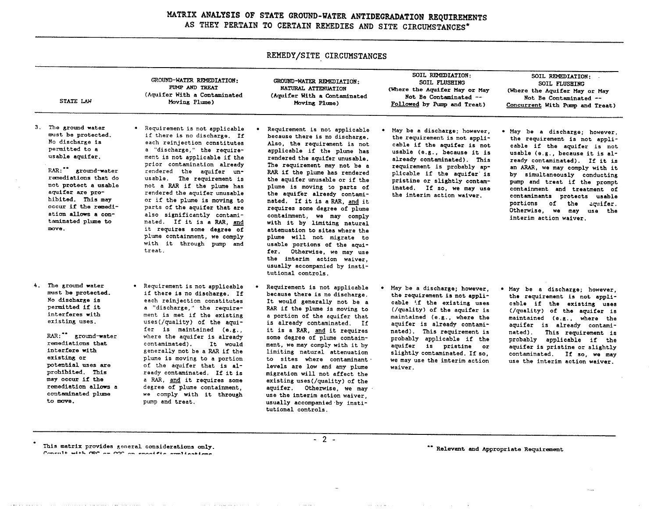# **MATRIX ANALYSIS OF STATE GROUND-WATER ANTIDEGRADATION REQUIREMENTS AS THEY PERTAIN TO CERTAIN REMEDIES AND SITE CIRCUMSTANCES\***

**REMEDY/SITE CIRCUMSTANCES**  SOIL REMEDIATION: SOIL REMEDIATION: GROUND-WATER REMEDIATION:<br>FUMP AND TREAT GROUND-WATER RPIEDIATION: SOIL FLUSHING SOIL FLUSHING NATURAL ATTENUATION (Where the Aquifer May or May (Where the Aquifer May or May **PUHP** MOD **TREAT**  Not Be Contaminated -- Aquifer With a Contaminated Not Be Contaminated -- (Aquifer With a Contaminated STATE LAW Followed by Pump and Treat) Concurrent With Pump and Treat)  $S = \frac{1}{2}$ Ming Plume) 3. The ground water<br>must be protected. • Requirement is not applicable<br>if there is no discharge. If Requirement is not applicable May be a discharge: however, . May be a discharge; however. because there is no discharge.<br>Also, the requirement is not the requirement is not applithe requirement is not appli-No discharge is each reinjection constitutes cable if the aquifer is not cable if the aquifer is not permitted to a a "discharge," the requireapplicable if the plume has usable (e.8.. because it is usable (e.g., because it is alpermitted to a  $\frac{1}{2}$ ment is not applicable if the rendered the aguifer unusable. already contaminated). This ready contaminated). If it is  $\mathbf{u}$  satisfying squires. rendered the aquifer unusable. prior contamination already requirement is probably apan **ARAR,** we may comply with it The requirement may not be a **RAR:** \*\* ground-water<br>remediations that do rendered the aguifer unplicable if the aquifer' is by simultaneously conducting RAR if the plume has rendered usable. The requirement is pristine or slightly contampump and treat if the prompt the aquifer unusable or if the not protect a usable not a RAR if the plume has plume is moving to parts of<br>the aquifer already contamiinated. If so, we may use containment and treatment of aquifer are prorendered the aquifer unusable the interim action waiver. contaminants protects usable the aquifer already contami-nated. If it is a RAR, **and** it hibited. This may or if the plume is moving to portions of the aquifer. occur if the remediparts of the aquifer that are requires some degree of plume<br>containment, we may comply Otherwise, we may use the ation allows a conalso significantly contamiinterim action waiver. nated. If it is a RAR, and taminated plume to with it by limiting natural with it by limiting natural attenuation to sites where the move. it requires some degree of<br>plume containment, we comply plume will not migrate to<br>usable portions of the aguiplume containment, we comply with  $\mathbf{r}$  and  $\mathbf{r}$  pump and usable portions of the aquifer. Otherwise, we may use treat. the interim action waiver, usually accompanied by institutional controls. 4. The ground water<br>must be protected. • Requirement is not applicable<br>if there is no discharge. If Requirement is not applicable May be a discharge; however, May be a discharge; however, because there is no discharge.<br>It would generally not be a the requirement is not applithe requirement is not appli-No discharge is each reinjection constitutes cable if the existing uses cable if the existing uses It would generally not be a permitted if it a "discharge," the require-(/quality) of the aquifer is (/quality) of the aquifer is RAR if the plume is moving to interferes with ment is met if the existing a portion of the aquifer that<br>is already contaminated. If maintained (e.g., where the maintained (0.8. . where the  $\frac{1}{2}$ inter with  $\frac{1}{2}$ uses (/quality) of the aquiaquifer is already contamiaquifer is already contamiexisting uses. is already contaminated. If fer is maintained  $(e, g, \cdot)$ nated). This requirement is nated). This requirement is it is a **FMl,** it requires RAR:<sup>\*\*</sup> ground-water<br>remediations that where the aquifer is already some degree of plume contain-<br>ment, we may comply with it by probably applicable if the probably applicable if the contaminated). It would aquifer is pristine or aquifer is pristine or slightly ment, we may comply with it by interfere with generally not be a RAR if the slightly contaminated. If so, contaminated. If so, we may limiting natural attenuation existing or plume is moving to a portion to sites where contaminant levels are low and any plume we may use the interim action use the interim action waiver. potential uses are of the aquifer that is alwaiver. levels are low and any plume prohibited. This ready contaminated. If it is migration will not affect the may occur if the a RAR, and it requires some existing uses(/quaLity) of the remediation allows a degree of plume containment, aquifer. Otherwise, we may contaminated plume we comply with it through  $\frac{1}{2}$  comparent it through se the interim action waiver, to move. usually accompanied.by instipump and treat. tutional controls.

This matrix provides goneral considerations only. C--..l+ **-A+% mP** -- CrY. --. **r..rrrJ#4-** *--.-'llr-Cl-r* 

- 2 -  $*$  Relevant and Appropriate Requirement